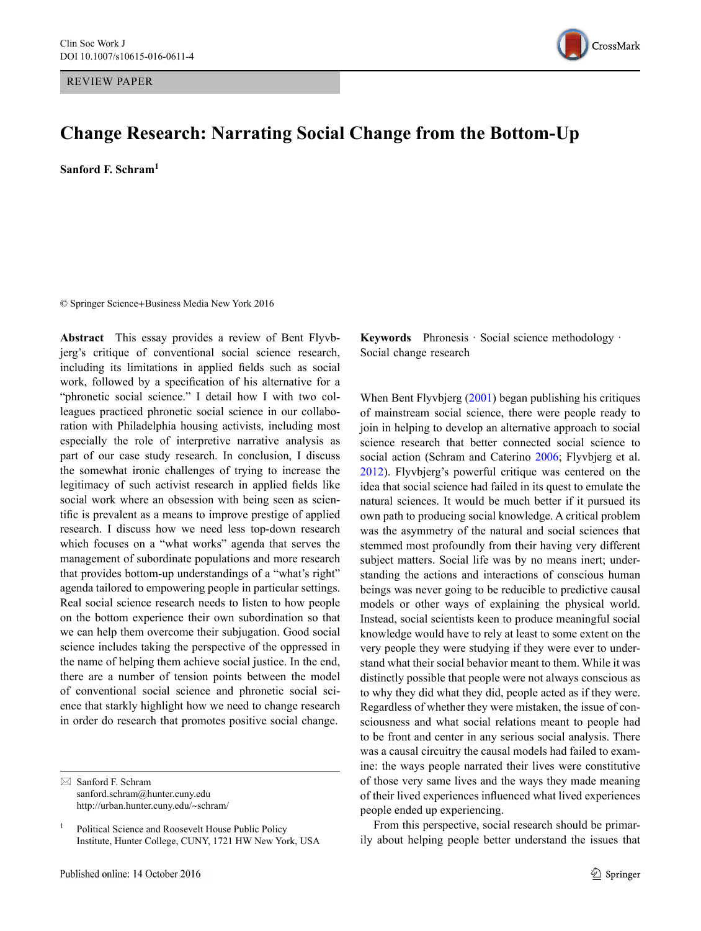REVIEW PApEr



# **Change Research: Narrating Social Change from the Bottom-Up**

**Sanford F. Schram<sup>1</sup>**

© Springer Science+Business Media New York 2016

**Abstract** This essay provides a review of Bent Flyvbjerg's critique of conventional social science research, including its limitations in applied fields such as social work, followed by a specification of his alternative for a "phronetic social science." I detail how I with two colleagues practiced phronetic social science in our collaboration with Philadelphia housing activists, including most especially the role of interpretive narrative analysis as part of our case study research. In conclusion, I discuss the somewhat ironic challenges of trying to increase the legitimacy of such activist research in applied fields like social work where an obsession with being seen as scientific is prevalent as a means to improve prestige of applied research. I discuss how we need less top-down research which focuses on a "what works" agenda that serves the management of subordinate populations and more research that provides bottom-up understandings of a "what's right" agenda tailored to empowering people in particular settings. Real social science research needs to listen to how people on the bottom experience their own subordination so that we can help them overcome their subjugation. Good social science includes taking the perspective of the oppressed in the name of helping them achieve social justice. In the end, there are a number of tension points between the model of conventional social science and phronetic social science that starkly highlight how we need to change research in order do research that promotes positive social change.

**Keywords** Phronesis · Social science methodology · Social change research

When Bent Flyvbjerg ([2001\)](#page-8-0) began publishing his critiques of mainstream social science, there were people ready to join in helping to develop an alternative approach to social science research that better connected social science to social action (Schram and Caterino [2006;](#page-8-1) Flyvbjerg et al. [2012](#page-8-2)). Flyvbjerg's powerful critique was centered on the idea that social science had failed in its quest to emulate the natural sciences. It would be much better if it pursued its own path to producing social knowledge. A critical problem was the asymmetry of the natural and social sciences that stemmed most profoundly from their having very different subject matters. Social life was by no means inert; understanding the actions and interactions of conscious human beings was never going to be reducible to predictive causal models or other ways of explaining the physical world. Instead, social scientists keen to produce meaningful social knowledge would have to rely at least to some extent on the very people they were studying if they were ever to understand what their social behavior meant to them. While it was distinctly possible that people were not always conscious as to why they did what they did, people acted as if they were. Regardless of whether they were mistaken, the issue of consciousness and what social relations meant to people had to be front and center in any serious social analysis. There was a causal circuitry the causal models had failed to examine: the ways people narrated their lives were constitutive of those very same lives and the ways they made meaning of their lived experiences influenced what lived experiences people ended up experiencing.

From this perspective, social research should be primarily about helping people better understand the issues that

 $\boxtimes$  Sanford F. Schram sanford.schram@hunter.cuny.edu http://urban.hunter.cuny.edu/~schram/

<sup>&</sup>lt;sup>1</sup> Political Science and Roosevelt House Public Policy Institute, Hunter College, CUNY, 1721 HW New York, USA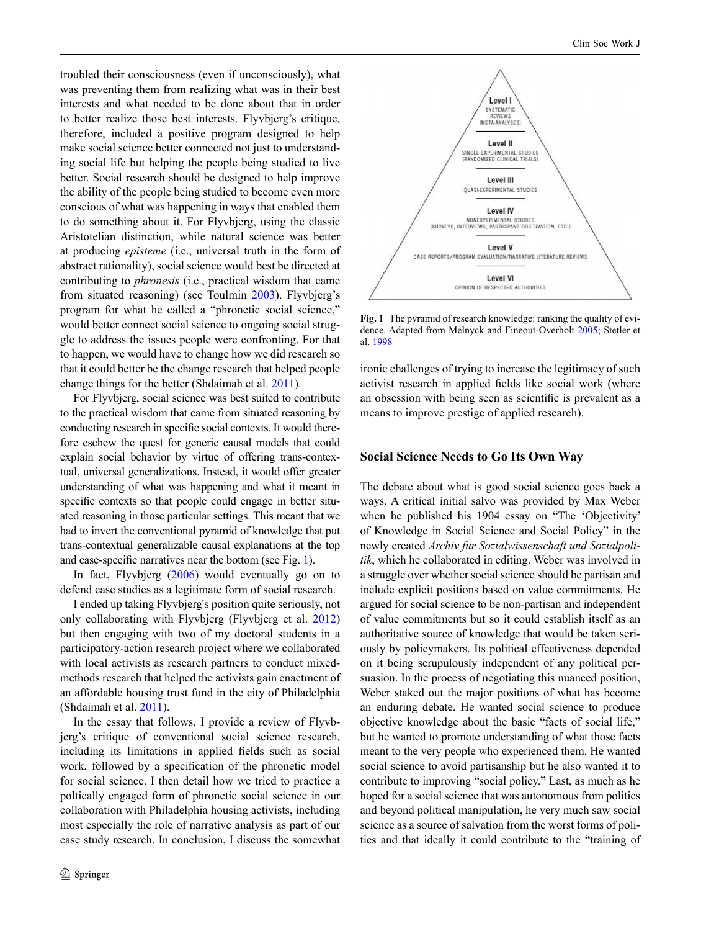troubled their consciousness (even if unconsciously), what was preventing them from realizing what was in their best interests and what needed to be done about that in order to better realize those best interests. Flyvbjerg's critique, therefore, included a positive program designed to help make social science better connected not just to understanding social life but helping the people being studied to live better. Social research should be designed to help improve the ability of the people being studied to become even more conscious of what was happening in ways that enabled them to do something about it. For Flyvbjerg, using the classic Aristotelian distinction, while natural science was better at producing *episteme* (i.e., universal truth in the form of abstract rationality), social science would best be directed at contributing to *phronesis* (i.e., practical wisdom that came from situated reasoning) (see Toulmin [2003\)](#page-8-3). Flyvbjerg's program for what he called a "phronetic social science," would better connect social science to ongoing social struggle to address the issues people were confronting. For that to happen, we would have to change how we did research so that it could better be the change research that helped people change things for the better (Shdaimah et al. [2011](#page-8-4)).

For Flyvbjerg, social science was best suited to contribute to the practical wisdom that came from situated reasoning by conducting research in specific social contexts. It would therefore eschew the quest for generic causal models that could explain social behavior by virtue of offering trans-contextual, universal generalizations. Instead, it would offer greater understanding of what was happening and what it meant in specific contexts so that people could engage in better situated reasoning in those particular settings. This meant that we had to invert the conventional pyramid of knowledge that put trans-contextual generalizable causal explanations at the top and case-specific narratives near the bottom (see Fig. [1](#page-1-0)).

In fact, Flyvbjerg ([2006\)](#page-8-5) would eventually go on to defend case studies as a legitimate form of social research.

I ended up taking Flyvbjerg's position quite seriously, not only collaborating with Flyvbjerg (Flyvbjerg et al. [2012\)](#page-8-2) but then engaging with two of my doctoral students in a participatory-action research project where we collaborated with local activists as research partners to conduct mixedmethods research that helped the activists gain enactment of an affordable housing trust fund in the city of Philadelphia (Shdaimah et al. [2011](#page-8-4)).

In the essay that follows, I provide a review of Flyvbjerg's critique of conventional social science research, including its limitations in applied fields such as social work, followed by a specification of the phronetic model for social science. I then detail how we tried to practice a poltically engaged form of phronetic social science in our collaboration with Philadelphia housing activists, including most especially the role of narrative analysis as part of our case study research. In conclusion, I discuss the somewhat

<span id="page-1-0"></span>

**Fig. 1** The pyramid of research knowledge: ranking the quality of evidence. Adapted from Melnyck and Fineout-Overholt [2005](#page-8-6); Stetler et al. [1998](#page-8-7)

ironic challenges of trying to increase the legitimacy of such activist research in applied fields like social work (where an obsession with being seen as scientific is prevalent as a means to improve prestige of applied research).

#### **Social Science Needs to Go Its Own Way**

The debate about what is good social science goes back a ways. A critical initial salvo was provided by Max Weber when he published his 1904 essay on "The 'Objectivity' of Knowledge in Social Science and Social Policy" in the newly created *Archiv fur Sozialwissenschaft und Sozialpolitik*, which he collaborated in editing. Weber was involved in a struggle over whether social science should be partisan and include explicit positions based on value commitments. He argued for social science to be non-partisan and independent of value commitments but so it could establish itself as an authoritative source of knowledge that would be taken seriously by policymakers. Its political effectiveness depended on it being scrupulously independent of any political persuasion. In the process of negotiating this nuanced position, Weber staked out the major positions of what has become an enduring debate. He wanted social science to produce objective knowledge about the basic "facts of social life," but he wanted to promote understanding of what those facts meant to the very people who experienced them. He wanted social science to avoid partisanship but he also wanted it to contribute to improving "social policy." Last, as much as he hoped for a social science that was autonomous from politics and beyond political manipulation, he very much saw social science as a source of salvation from the worst forms of politics and that ideally it could contribute to the "training of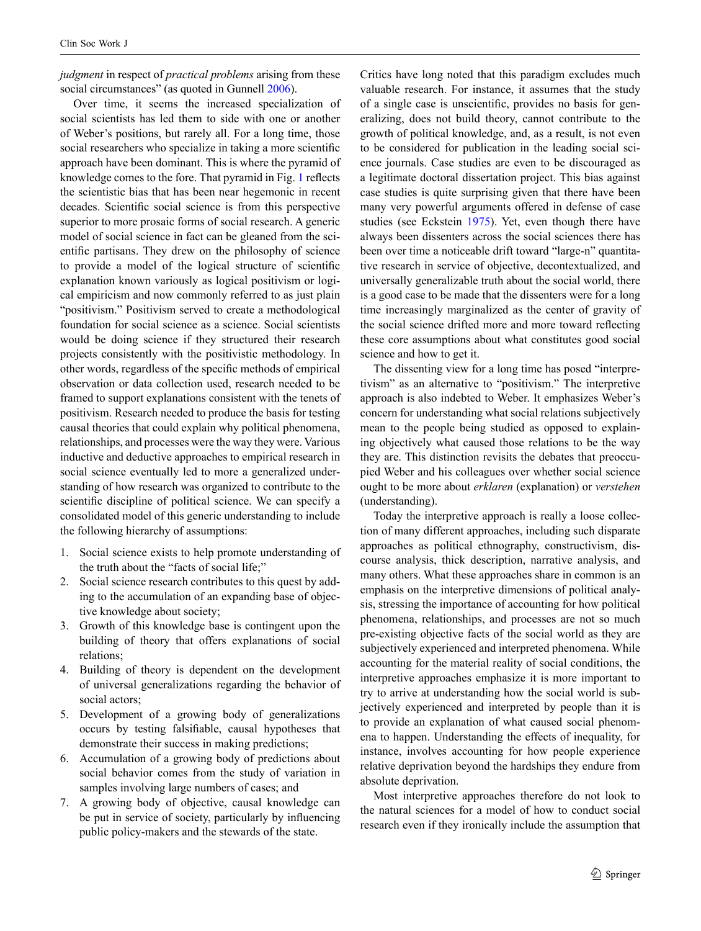*judgment* in respect of *practical problems* arising from these social circumstances" (as quoted in Gunnell [2006\)](#page-8-9).

Over time, it seems the increased specialization of social scientists has led them to side with one or another of Weber's positions, but rarely all. For a long time, those social researchers who specialize in taking a more scientific approach have been dominant. This is where the pyramid of knowledge comes to the fore. That pyramid in Fig. [1](#page-1-0) reflects the scientistic bias that has been near hegemonic in recent decades. Scientific social science is from this perspective superior to more prosaic forms of social research. A generic model of social science in fact can be gleaned from the scientific partisans. They drew on the philosophy of science to provide a model of the logical structure of scientific explanation known variously as logical positivism or logical empiricism and now commonly referred to as just plain "positivism." Positivism served to create a methodological foundation for social science as a science. Social scientists would be doing science if they structured their research projects consistently with the positivistic methodology. In other words, regardless of the specific methods of empirical observation or data collection used, research needed to be framed to support explanations consistent with the tenets of positivism. Research needed to produce the basis for testing causal theories that could explain why political phenomena, relationships, and processes were the way they were. Various inductive and deductive approaches to empirical research in social science eventually led to more a generalized understanding of how research was organized to contribute to the scientific discipline of political science. We can specify a consolidated model of this generic understanding to include the following hierarchy of assumptions:

- 1. Social science exists to help promote understanding of the truth about the "facts of social life;"
- 2. Social science research contributes to this quest by adding to the accumulation of an expanding base of objective knowledge about society;
- 3. Growth of this knowledge base is contingent upon the building of theory that offers explanations of social relations;
- 4. Building of theory is dependent on the development of universal generalizations regarding the behavior of social actors;
- 5. Development of a growing body of generalizations occurs by testing falsifiable, causal hypotheses that demonstrate their success in making predictions;
- 6. Accumulation of a growing body of predictions about social behavior comes from the study of variation in samples involving large numbers of cases; and
- 7. A growing body of objective, causal knowledge can be put in service of society, particularly by influencing public policy-makers and the stewards of the state.

Critics have long noted that this paradigm excludes much valuable research. For instance, it assumes that the study of a single case is unscientific, provides no basis for generalizing, does not build theory, cannot contribute to the growth of political knowledge, and, as a result, is not even to be considered for publication in the leading social science journals. Case studies are even to be discouraged as a legitimate doctoral dissertation project. This bias against case studies is quite surprising given that there have been many very powerful arguments offered in defense of case studies (see Eckstein [1975\)](#page-8-8). Yet, even though there have always been dissenters across the social sciences there has been over time a noticeable drift toward "large-n" quantitative research in service of objective, decontextualized, and universally generalizable truth about the social world, there is a good case to be made that the dissenters were for a long time increasingly marginalized as the center of gravity of the social science drifted more and more toward reflecting these core assumptions about what constitutes good social science and how to get it.

The dissenting view for a long time has posed "interpretivism" as an alternative to "positivism." The interpretive approach is also indebted to Weber. It emphasizes Weber's concern for understanding what social relations subjectively mean to the people being studied as opposed to explaining objectively what caused those relations to be the way they are. This distinction revisits the debates that preoccupied Weber and his colleagues over whether social science ought to be more about *erklaren* (explanation) or *verstehen* (understanding).

Today the interpretive approach is really a loose collection of many different approaches, including such disparate approaches as political ethnography, constructivism, discourse analysis, thick description, narrative analysis, and many others. What these approaches share in common is an emphasis on the interpretive dimensions of political analysis, stressing the importance of accounting for how political phenomena, relationships, and processes are not so much pre-existing objective facts of the social world as they are subjectively experienced and interpreted phenomena. While accounting for the material reality of social conditions, the interpretive approaches emphasize it is more important to try to arrive at understanding how the social world is subjectively experienced and interpreted by people than it is to provide an explanation of what caused social phenomena to happen. Understanding the effects of inequality, for instance, involves accounting for how people experience relative deprivation beyond the hardships they endure from absolute deprivation.

Most interpretive approaches therefore do not look to the natural sciences for a model of how to conduct social research even if they ironically include the assumption that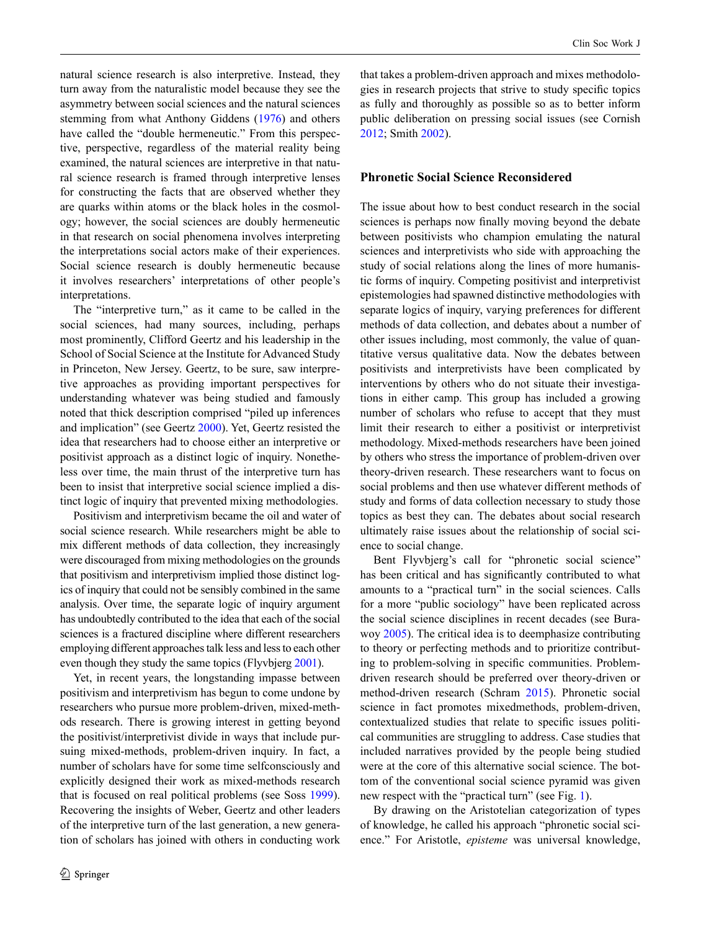natural science research is also interpretive. Instead, they turn away from the naturalistic model because they see the asymmetry between social sciences and the natural sciences stemming from what Anthony Giddens [\(1976](#page-8-14)) and others have called the "double hermeneutic." From this perspective, perspective, regardless of the material reality being examined, the natural sciences are interpretive in that natural science research is framed through interpretive lenses for constructing the facts that are observed whether they are quarks within atoms or the black holes in the cosmology; however, the social sciences are doubly hermeneutic in that research on social phenomena involves interpreting the interpretations social actors make of their experiences. Social science research is doubly hermeneutic because it involves researchers' interpretations of other people's interpretations.

The "interpretive turn," as it came to be called in the social sciences, had many sources, including, perhaps most prominently, Clifford Geertz and his leadership in the School of Social Science at the Institute for Advanced Study in Princeton, New Jersey. Geertz, to be sure, saw interpretive approaches as providing important perspectives for understanding whatever was being studied and famously noted that thick description comprised "piled up inferences and implication" (see Geertz [2000](#page-8-15)). Yet, Geertz resisted the idea that researchers had to choose either an interpretive or positivist approach as a distinct logic of inquiry. Nonetheless over time, the main thrust of the interpretive turn has been to insist that interpretive social science implied a distinct logic of inquiry that prevented mixing methodologies.

Positivism and interpretivism became the oil and water of social science research. While researchers might be able to mix different methods of data collection, they increasingly were discouraged from mixing methodologies on the grounds that positivism and interpretivism implied those distinct logics of inquiry that could not be sensibly combined in the same analysis. Over time, the separate logic of inquiry argument has undoubtedly contributed to the idea that each of the social sciences is a fractured discipline where different researchers employing different approaches talk less and less to each other even though they study the same topics (Flyvbjerg [2001\)](#page-8-0).

Yet, in recent years, the longstanding impasse between positivism and interpretivism has begun to come undone by researchers who pursue more problem-driven, mixed-methods research. There is growing interest in getting beyond the positivist/interpretivist divide in ways that include pursuing mixed-methods, problem-driven inquiry. In fact, a number of scholars have for some time selfconsciously and explicitly designed their work as mixed-methods research that is focused on real political problems (see Soss [1999](#page-8-16)). Recovering the insights of Weber, Geertz and other leaders of the interpretive turn of the last generation, a new generation of scholars has joined with others in conducting work that takes a problem-driven approach and mixes methodologies in research projects that strive to study specific topics as fully and thoroughly as possible so as to better inform public deliberation on pressing social issues (see Cornish [2012](#page-8-10); Smith [2002\)](#page-8-11).

# **Phronetic Social Science Reconsidered**

The issue about how to best conduct research in the social sciences is perhaps now finally moving beyond the debate between positivists who champion emulating the natural sciences and interpretivists who side with approaching the study of social relations along the lines of more humanistic forms of inquiry. Competing positivist and interpretivist epistemologies had spawned distinctive methodologies with separate logics of inquiry, varying preferences for different methods of data collection, and debates about a number of other issues including, most commonly, the value of quantitative versus qualitative data. Now the debates between positivists and interpretivists have been complicated by interventions by others who do not situate their investigations in either camp. This group has included a growing number of scholars who refuse to accept that they must limit their research to either a positivist or interpretivist methodology. Mixed-methods researchers have been joined by others who stress the importance of problem-driven over theory-driven research. These researchers want to focus on social problems and then use whatever different methods of study and forms of data collection necessary to study those topics as best they can. The debates about social research ultimately raise issues about the relationship of social science to social change.

Bent Flyvbjerg's call for "phronetic social science" has been critical and has significantly contributed to what amounts to a "practical turn" in the social sciences. Calls for a more "public sociology" have been replicated across the social science disciplines in recent decades (see Burawoy [2005\)](#page-8-12). The critical idea is to deemphasize contributing to theory or perfecting methods and to prioritize contributing to problem-solving in specific communities. Problemdriven research should be preferred over theory-driven or method-driven research (Schram [2015\)](#page-8-13). Phronetic social science in fact promotes mixedmethods, problem-driven, contextualized studies that relate to specific issues political communities are struggling to address. Case studies that included narratives provided by the people being studied were at the core of this alternative social science. The bottom of the conventional social science pyramid was given new respect with the "practical turn" (see Fig. [1](#page-1-0)).

By drawing on the Aristotelian categorization of types of knowledge, he called his approach "phronetic social science." For Aristotle, *episteme* was universal knowledge,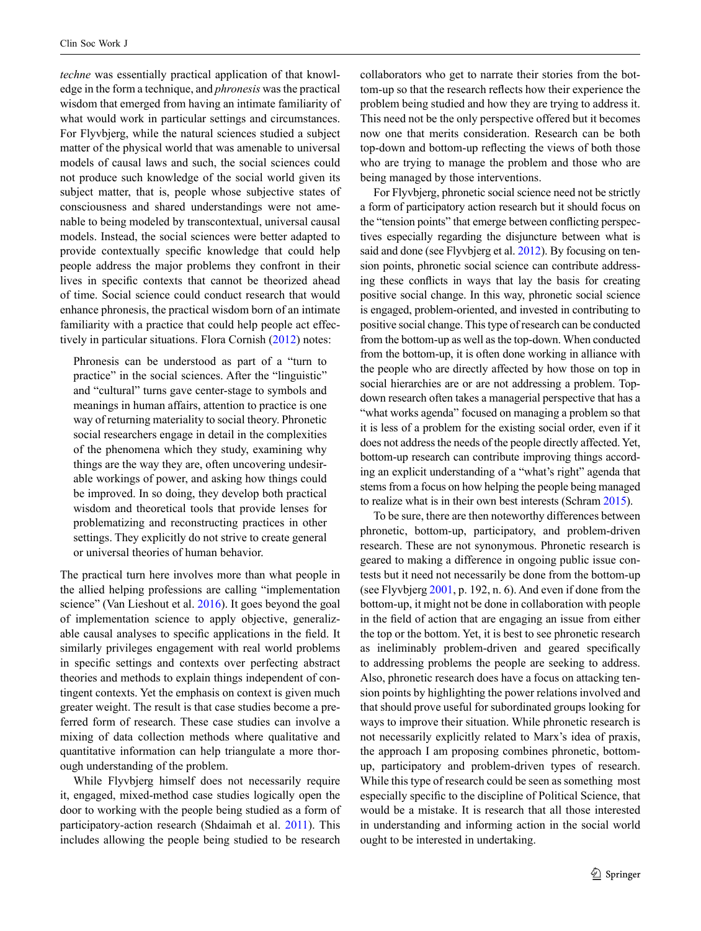*techne* was essentially practical application of that knowledge in the form a technique, and *phronesis* was the practical wisdom that emerged from having an intimate familiarity of what would work in particular settings and circumstances. For Flyvbjerg, while the natural sciences studied a subject matter of the physical world that was amenable to universal models of causal laws and such, the social sciences could not produce such knowledge of the social world given its subject matter, that is, people whose subjective states of consciousness and shared understandings were not amenable to being modeled by transcontextual, universal causal models. Instead, the social sciences were better adapted to provide contextually specific knowledge that could help people address the major problems they confront in their lives in specific contexts that cannot be theorized ahead of time. Social science could conduct research that would enhance phronesis, the practical wisdom born of an intimate familiarity with a practice that could help people act effectively in particular situations. Flora Cornish ([2012\)](#page-8-10) notes:

Phronesis can be understood as part of a "turn to practice" in the social sciences. After the "linguistic" and "cultural" turns gave center-stage to symbols and meanings in human affairs, attention to practice is one way of returning materiality to social theory. Phronetic social researchers engage in detail in the complexities of the phenomena which they study, examining why things are the way they are, often uncovering undesirable workings of power, and asking how things could be improved. In so doing, they develop both practical wisdom and theoretical tools that provide lenses for problematizing and reconstructing practices in other settings. They explicitly do not strive to create general or universal theories of human behavior.

The practical turn here involves more than what people in the allied helping professions are calling "implementation science" (Van Lieshout et al. [2016\)](#page-8-17). It goes beyond the goal of implementation science to apply objective, generalizable causal analyses to specific applications in the field. It similarly privileges engagement with real world problems in specific settings and contexts over perfecting abstract theories and methods to explain things independent of contingent contexts. Yet the emphasis on context is given much greater weight. The result is that case studies become a preferred form of research. These case studies can involve a mixing of data collection methods where qualitative and quantitative information can help triangulate a more thorough understanding of the problem.

While Flyvbjerg himself does not necessarily require it, engaged, mixed-method case studies logically open the door to working with the people being studied as a form of participatory-action research (Shdaimah et al. [2011\)](#page-8-4). This includes allowing the people being studied to be research

collaborators who get to narrate their stories from the bottom-up so that the research reflects how their experience the problem being studied and how they are trying to address it. This need not be the only perspective offered but it becomes now one that merits consideration. Research can be both top-down and bottom-up reflecting the views of both those who are trying to manage the problem and those who are being managed by those interventions.

For Flyvbjerg, phronetic social science need not be strictly a form of participatory action research but it should focus on the "tension points" that emerge between conflicting perspectives especially regarding the disjuncture between what is said and done (see Flyvbjerg et al. [2012\)](#page-8-2). By focusing on tension points, phronetic social science can contribute addressing these conflicts in ways that lay the basis for creating positive social change. In this way, phronetic social science is engaged, problem-oriented, and invested in contributing to positive social change. This type of research can be conducted from the bottom-up as well as the top-down. When conducted from the bottom-up, it is often done working in alliance with the people who are directly affected by how those on top in social hierarchies are or are not addressing a problem. Topdown research often takes a managerial perspective that has a "what works agenda" focused on managing a problem so that it is less of a problem for the existing social order, even if it does not address the needs of the people directly affected. Yet, bottom-up research can contribute improving things according an explicit understanding of a "what's right" agenda that stems from a focus on how helping the people being managed to realize what is in their own best interests (Schram [2015](#page-8-13)).

To be sure, there are then noteworthy differences between phronetic, bottom-up, participatory, and problem-driven research. These are not synonymous. Phronetic research is geared to making a difference in ongoing public issue contests but it need not necessarily be done from the bottom-up (see Flyvbjerg [2001](#page-8-0), p. 192, n. 6). And even if done from the bottom-up, it might not be done in collaboration with people in the field of action that are engaging an issue from either the top or the bottom. Yet, it is best to see phronetic research as ineliminably problem-driven and geared specifically to addressing problems the people are seeking to address. Also, phronetic research does have a focus on attacking tension points by highlighting the power relations involved and that should prove useful for subordinated groups looking for ways to improve their situation. While phronetic research is not necessarily explicitly related to Marx's idea of praxis, the approach I am proposing combines phronetic, bottomup, participatory and problem-driven types of research. While this type of research could be seen as something most especially specific to the discipline of Political Science, that would be a mistake. It is research that all those interested in understanding and informing action in the social world ought to be interested in undertaking.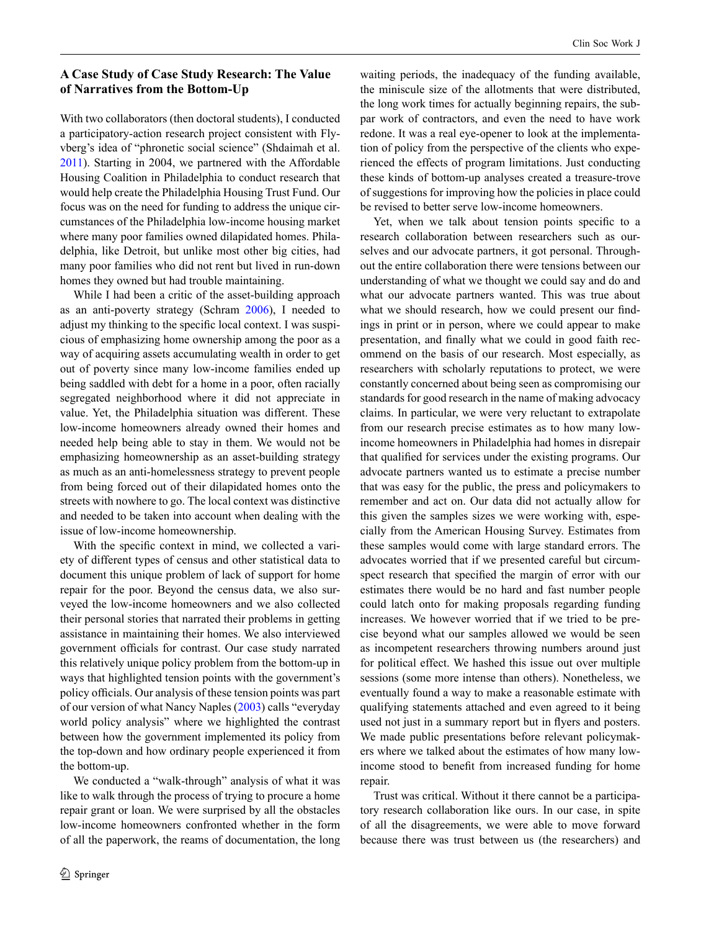# **A Case Study of Case Study Research: The Value of Narratives from the Bottom-Up**

With two collaborators (then doctoral students), I conducted a participatory-action research project consistent with Flyvberg's idea of "phronetic social science" (Shdaimah et al. [2011\)](#page-8-4). Starting in 2004, we partnered with the Affordable Housing Coalition in Philadelphia to conduct research that would help create the Philadelphia Housing Trust Fund. Our focus was on the need for funding to address the unique circumstances of the Philadelphia low-income housing market where many poor families owned dilapidated homes. Philadelphia, like Detroit, but unlike most other big cities, had many poor families who did not rent but lived in run-down homes they owned but had trouble maintaining.

While I had been a critic of the asset-building approach as an anti-poverty strategy (Schram [2006\)](#page-8-18), I needed to adjust my thinking to the specific local context. I was suspicious of emphasizing home ownership among the poor as a way of acquiring assets accumulating wealth in order to get out of poverty since many low-income families ended up being saddled with debt for a home in a poor, often racially segregated neighborhood where it did not appreciate in value. Yet, the Philadelphia situation was different. These low-income homeowners already owned their homes and needed help being able to stay in them. We would not be emphasizing homeownership as an asset-building strategy as much as an anti-homelessness strategy to prevent people from being forced out of their dilapidated homes onto the streets with nowhere to go. The local context was distinctive and needed to be taken into account when dealing with the issue of low-income homeownership.

With the specific context in mind, we collected a variety of different types of census and other statistical data to document this unique problem of lack of support for home repair for the poor. Beyond the census data, we also surveyed the low-income homeowners and we also collected their personal stories that narrated their problems in getting assistance in maintaining their homes. We also interviewed government officials for contrast. Our case study narrated this relatively unique policy problem from the bottom-up in ways that highlighted tension points with the government's policy officials. Our analysis of these tension points was part of our version of what Nancy Naples [\(2003](#page-8-19)) calls "everyday world policy analysis" where we highlighted the contrast between how the government implemented its policy from the top-down and how ordinary people experienced it from the bottom-up.

We conducted a "walk-through" analysis of what it was like to walk through the process of trying to procure a home repair grant or loan. We were surprised by all the obstacles low-income homeowners confronted whether in the form of all the paperwork, the reams of documentation, the long waiting periods, the inadequacy of the funding available, the miniscule size of the allotments that were distributed, the long work times for actually beginning repairs, the subpar work of contractors, and even the need to have work redone. It was a real eye-opener to look at the implementation of policy from the perspective of the clients who experienced the effects of program limitations. Just conducting these kinds of bottom-up analyses created a treasure-trove of suggestions for improving how the policies in place could be revised to better serve low-income homeowners.

Yet, when we talk about tension points specific to a research collaboration between researchers such as ourselves and our advocate partners, it got personal. Throughout the entire collaboration there were tensions between our understanding of what we thought we could say and do and what our advocate partners wanted. This was true about what we should research, how we could present our findings in print or in person, where we could appear to make presentation, and finally what we could in good faith recommend on the basis of our research. Most especially, as researchers with scholarly reputations to protect, we were constantly concerned about being seen as compromising our standards for good research in the name of making advocacy claims. In particular, we were very reluctant to extrapolate from our research precise estimates as to how many lowincome homeowners in Philadelphia had homes in disrepair that qualified for services under the existing programs. Our advocate partners wanted us to estimate a precise number that was easy for the public, the press and policymakers to remember and act on. Our data did not actually allow for this given the samples sizes we were working with, especially from the American Housing Survey. Estimates from these samples would come with large standard errors. The advocates worried that if we presented careful but circumspect research that specified the margin of error with our estimates there would be no hard and fast number people could latch onto for making proposals regarding funding increases. We however worried that if we tried to be precise beyond what our samples allowed we would be seen as incompetent researchers throwing numbers around just for political effect. We hashed this issue out over multiple sessions (some more intense than others). Nonetheless, we eventually found a way to make a reasonable estimate with qualifying statements attached and even agreed to it being used not just in a summary report but in flyers and posters. We made public presentations before relevant policymakers where we talked about the estimates of how many lowincome stood to benefit from increased funding for home repair.

Trust was critical. Without it there cannot be a participatory research collaboration like ours. In our case, in spite of all the disagreements, we were able to move forward because there was trust between us (the researchers) and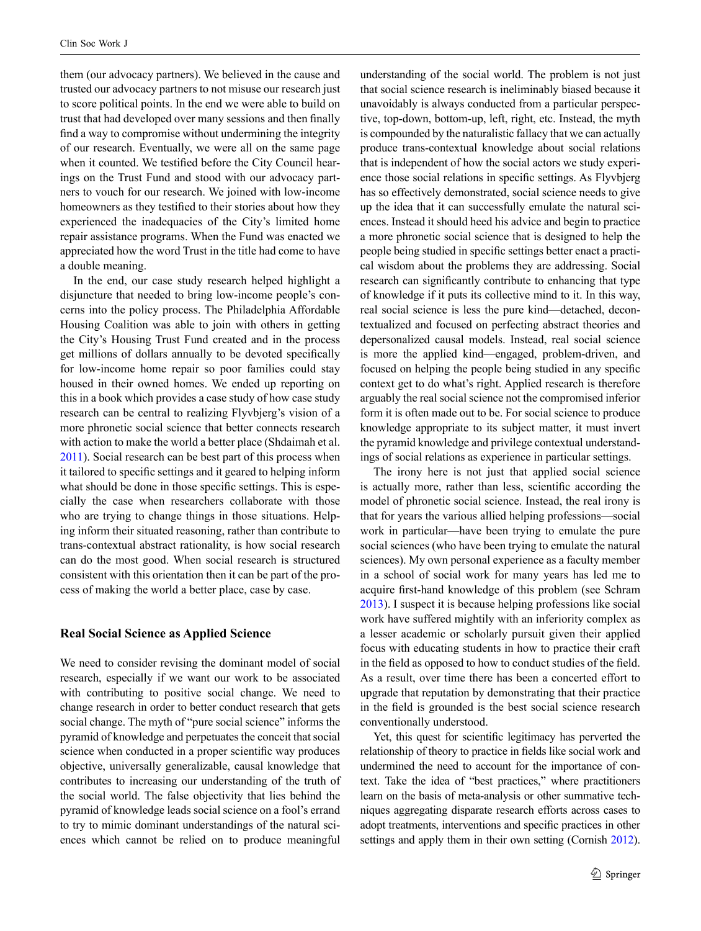them (our advocacy partners). We believed in the cause and trusted our advocacy partners to not misuse our research just to score political points. In the end we were able to build on trust that had developed over many sessions and then finally find a way to compromise without undermining the integrity of our research. Eventually, we were all on the same page when it counted. We testified before the City Council hearings on the Trust Fund and stood with our advocacy partners to vouch for our research. We joined with low-income homeowners as they testified to their stories about how they experienced the inadequacies of the City's limited home repair assistance programs. When the Fund was enacted we appreciated how the word Trust in the title had come to have a double meaning.

In the end, our case study research helped highlight a disjuncture that needed to bring low-income people's concerns into the policy process. The Philadelphia Affordable Housing Coalition was able to join with others in getting the City's Housing Trust Fund created and in the process get millions of dollars annually to be devoted specifically for low-income home repair so poor families could stay housed in their owned homes. We ended up reporting on this in a book which provides a case study of how case study research can be central to realizing Flyvbjerg's vision of a more phronetic social science that better connects research with action to make the world a better place (Shdaimah et al. [2011\)](#page-8-4). Social research can be best part of this process when it tailored to specific settings and it geared to helping inform what should be done in those specific settings. This is especially the case when researchers collaborate with those who are trying to change things in those situations. Helping inform their situated reasoning, rather than contribute to trans-contextual abstract rationality, is how social research can do the most good. When social research is structured consistent with this orientation then it can be part of the process of making the world a better place, case by case.

## **Real Social Science as Applied Science**

We need to consider revising the dominant model of social research, especially if we want our work to be associated with contributing to positive social change. We need to change research in order to better conduct research that gets social change. The myth of "pure social science" informs the pyramid of knowledge and perpetuates the conceit that social science when conducted in a proper scientific way produces objective, universally generalizable, causal knowledge that contributes to increasing our understanding of the truth of the social world. The false objectivity that lies behind the pyramid of knowledge leads social science on a fool's errand to try to mimic dominant understandings of the natural sciences which cannot be relied on to produce meaningful

understanding of the social world. The problem is not just that social science research is ineliminably biased because it unavoidably is always conducted from a particular perspective, top-down, bottom-up, left, right, etc. Instead, the myth is compounded by the naturalistic fallacy that we can actually produce trans-contextual knowledge about social relations that is independent of how the social actors we study experience those social relations in specific settings. As Flyvbjerg has so effectively demonstrated, social science needs to give up the idea that it can successfully emulate the natural sciences. Instead it should heed his advice and begin to practice a more phronetic social science that is designed to help the people being studied in specific settings better enact a practical wisdom about the problems they are addressing. Social research can significantly contribute to enhancing that type of knowledge if it puts its collective mind to it. In this way, real social science is less the pure kind—detached, decontextualized and focused on perfecting abstract theories and depersonalized causal models. Instead, real social science is more the applied kind—engaged, problem-driven, and focused on helping the people being studied in any specific context get to do what's right. Applied research is therefore arguably the real social science not the compromised inferior form it is often made out to be. For social science to produce knowledge appropriate to its subject matter, it must invert the pyramid knowledge and privilege contextual understandings of social relations as experience in particular settings.

The irony here is not just that applied social science is actually more, rather than less, scientific according the model of phronetic social science. Instead, the real irony is that for years the various allied helping professions—social work in particular—have been trying to emulate the pure social sciences (who have been trying to emulate the natural sciences). My own personal experience as a faculty member in a school of social work for many years has led me to acquire first-hand knowledge of this problem (see Schram [2013](#page-8-20)). I suspect it is because helping professions like social work have suffered mightily with an inferiority complex as a lesser academic or scholarly pursuit given their applied focus with educating students in how to practice their craft in the field as opposed to how to conduct studies of the field. As a result, over time there has been a concerted effort to upgrade that reputation by demonstrating that their practice in the field is grounded is the best social science research conventionally understood.

Yet, this quest for scientific legitimacy has perverted the relationship of theory to practice in fields like social work and undermined the need to account for the importance of context. Take the idea of "best practices," where practitioners learn on the basis of meta-analysis or other summative techniques aggregating disparate research efforts across cases to adopt treatments, interventions and specific practices in other settings and apply them in their own setting (Cornish [2012\)](#page-8-10).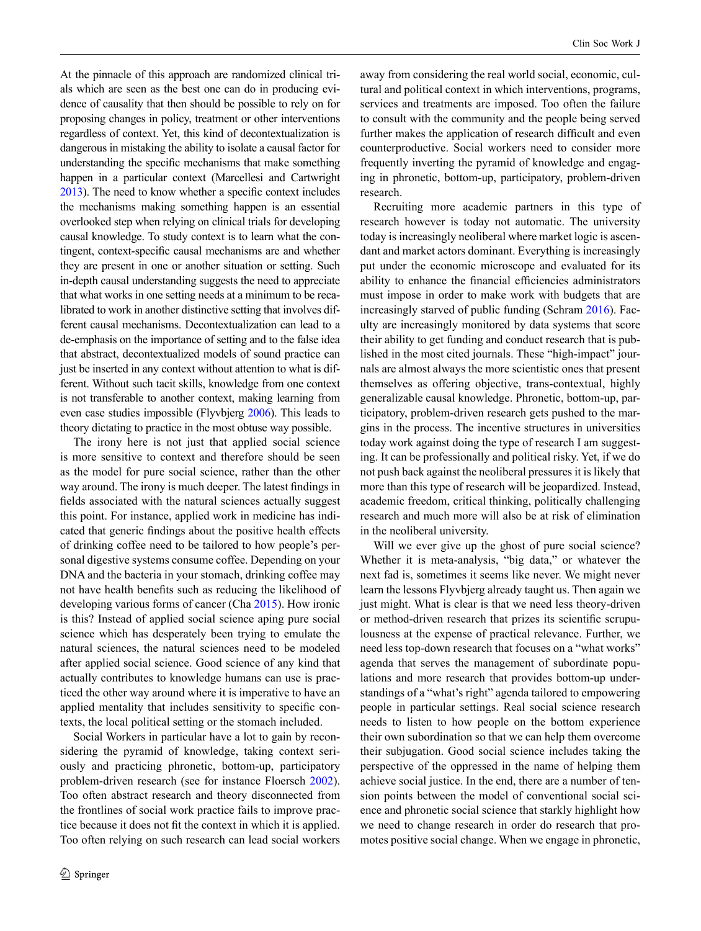At the pinnacle of this approach are randomized clinical trials which are seen as the best one can do in producing evidence of causality that then should be possible to rely on for proposing changes in policy, treatment or other interventions regardless of context. Yet, this kind of decontextualization is dangerous in mistaking the ability to isolate a causal factor for understanding the specific mechanisms that make something happen in a particular context (Marcellesi and Cartwright [2013](#page-8-22)). The need to know whether a specific context includes the mechanisms making something happen is an essential overlooked step when relying on clinical trials for developing causal knowledge. To study context is to learn what the contingent, context-specific causal mechanisms are and whether they are present in one or another situation or setting. Such in-depth causal understanding suggests the need to appreciate that what works in one setting needs at a minimum to be recalibrated to work in another distinctive setting that involves different causal mechanisms. Decontextualization can lead to a de-emphasis on the importance of setting and to the false idea that abstract, decontextualized models of sound practice can just be inserted in any context without attention to what is different. Without such tacit skills, knowledge from one context is not transferable to another context, making learning from even case studies impossible (Flyvbjerg [2006\)](#page-8-5). This leads to theory dictating to practice in the most obtuse way possible.

The irony here is not just that applied social science is more sensitive to context and therefore should be seen as the model for pure social science, rather than the other way around. The irony is much deeper. The latest findings in fields associated with the natural sciences actually suggest this point. For instance, applied work in medicine has indicated that generic findings about the positive health effects of drinking coffee need to be tailored to how people's personal digestive systems consume coffee. Depending on your DNA and the bacteria in your stomach, drinking coffee may not have health benefits such as reducing the likelihood of developing various forms of cancer (Cha [2015\)](#page-8-23). How ironic is this? Instead of applied social science aping pure social science which has desperately been trying to emulate the natural sciences, the natural sciences need to be modeled after applied social science. Good science of any kind that actually contributes to knowledge humans can use is practiced the other way around where it is imperative to have an applied mentality that includes sensitivity to specific contexts, the local political setting or the stomach included.

Social Workers in particular have a lot to gain by reconsidering the pyramid of knowledge, taking context seriously and practicing phronetic, bottom-up, participatory problem-driven research (see for instance Floersch [2002](#page-8-24)). Too often abstract research and theory disconnected from the frontlines of social work practice fails to improve practice because it does not fit the context in which it is applied. Too often relying on such research can lead social workers away from considering the real world social, economic, cultural and political context in which interventions, programs, services and treatments are imposed. Too often the failure to consult with the community and the people being served further makes the application of research difficult and even counterproductive. Social workers need to consider more frequently inverting the pyramid of knowledge and engaging in phronetic, bottom-up, participatory, problem-driven research.

Recruiting more academic partners in this type of research however is today not automatic. The university today is increasingly neoliberal where market logic is ascendant and market actors dominant. Everything is increasingly put under the economic microscope and evaluated for its ability to enhance the financial efficiencies administrators must impose in order to make work with budgets that are increasingly starved of public funding (Schram [2016](#page-8-21)). Faculty are increasingly monitored by data systems that score their ability to get funding and conduct research that is published in the most cited journals. These "high-impact" journals are almost always the more scientistic ones that present themselves as offering objective, trans-contextual, highly generalizable causal knowledge. Phronetic, bottom-up, participatory, problem-driven research gets pushed to the margins in the process. The incentive structures in universities today work against doing the type of research I am suggesting. It can be professionally and political risky. Yet, if we do not push back against the neoliberal pressures it is likely that more than this type of research will be jeopardized. Instead, academic freedom, critical thinking, politically challenging research and much more will also be at risk of elimination in the neoliberal university.

Will we ever give up the ghost of pure social science? Whether it is meta-analysis, "big data," or whatever the next fad is, sometimes it seems like never. We might never learn the lessons Flyvbjerg already taught us. Then again we just might. What is clear is that we need less theory-driven or method-driven research that prizes its scientific scrupulousness at the expense of practical relevance. Further, we need less top-down research that focuses on a "what works" agenda that serves the management of subordinate populations and more research that provides bottom-up understandings of a "what's right" agenda tailored to empowering people in particular settings. Real social science research needs to listen to how people on the bottom experience their own subordination so that we can help them overcome their subjugation. Good social science includes taking the perspective of the oppressed in the name of helping them achieve social justice. In the end, there are a number of tension points between the model of conventional social science and phronetic social science that starkly highlight how we need to change research in order do research that promotes positive social change. When we engage in phronetic,